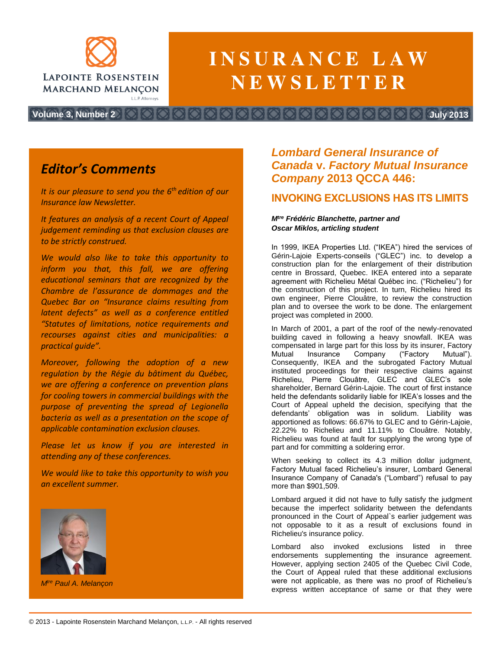

# $\blacksquare$  **INSURANCE LAW**  $N$ **E W S L E T T E R**

**Volume 3, Number 2 July 2013**

## *Editor's Comments*

*It is our pleasure to send you the 6th edition of our Insurance law Newsletter.*

*It features an analysis of a recent Court of Appeal judgement reminding us that exclusion clauses are to be strictly construed.*

*We would also like to take this opportunity to inform you that, this fall, we are offering educational seminars that are recognized by the Chambre de l'assurance de dommages and the Quebec Bar on "Insurance claims resulting from latent defects" as well as a conference entitled "Statutes of limitations, notice requirements and recourses against cities and municipalities: a practical guide".*

*Moreover, following the adoption of a new regulation by the Régie du bâtiment du Québec, we are offering a conference on prevention plans for cooling towers in commercial buildings with the purpose of preventing the spread of Legionella bacteria as well as a presentation on the scope of applicable contamination exclusion clauses.*

*Please let us know if you are interested in attending any of these conferences.*

*We would like to take this opportunity to wish you an excellent summer.*



*Mtre Paul A. Melançon*

## *Lombard General Insurance of Canada* **v.** *Factory Mutual Insurance Company* **2013 QCCA 446:**

### **INVOKING EXCLUSIONS HAS ITS LIMITS**

#### *Mtre Frédéric Blanchette, partner and Oscar Miklos, articling student*

In 1999, IKEA Properties Ltd. ("IKEA") hired the services of Gérin-Lajoie Experts-conseils ("GLEC") inc. to develop a construction plan for the enlargement of their distribution centre in Brossard, Quebec. IKEA entered into a separate agreement with Richelieu Métal Québec inc. ("Richelieu") for the construction of this project. In turn, Richelieu hired its own engineer, Pierre Clouâtre, to review the construction plan and to oversee the work to be done. The enlargement project was completed in 2000.

In March of 2001, a part of the roof of the newly-renovated building caved in following a heavy snowfall. IKEA was compensated in large part for this loss by its insurer, Factory Mutual Insurance Company ("Factory Mutual"). Consequently, IKEA and the subrogated Factory Mutual instituted proceedings for their respective claims against Richelieu, Pierre Clouâtre, GLEC and GLEC's sole shareholder, Bernard Gérin-Lajoie. The court of first instance held the defendants solidarily liable for IKEA's losses and the Court of Appeal upheld the decision, specifying that the defendants' obligation was in solidum. Liability was apportioned as follows: 66.67% to GLEC and to Gérin-Lajoie, 22.22% to Richelieu and 11.11% to Clouâtre. Notably, Richelieu was found at fault for supplying the wrong type of part and for committing a soldering error.

When seeking to collect its 4.3 million dollar judgment, Factory Mutual faced Richelieu's insurer, Lombard General Insurance Company of Canada's ("Lombard") refusal to pay more than \$901,509.

Lombard argued it did not have to fully satisfy the judgment because the imperfect solidarity between the defendants pronounced in the Court of Appeal`s earlier judgement was not opposable to it as a result of exclusions found in Richelieu's insurance policy.

Lombard also invoked exclusions listed in three endorsements supplementing the insurance agreement. However, applying section 2405 of the Quebec Civil Code, the Court of Appeal ruled that these additional exclusions were not applicable, as there was no proof of Richelieu's express written acceptance of same or that they were